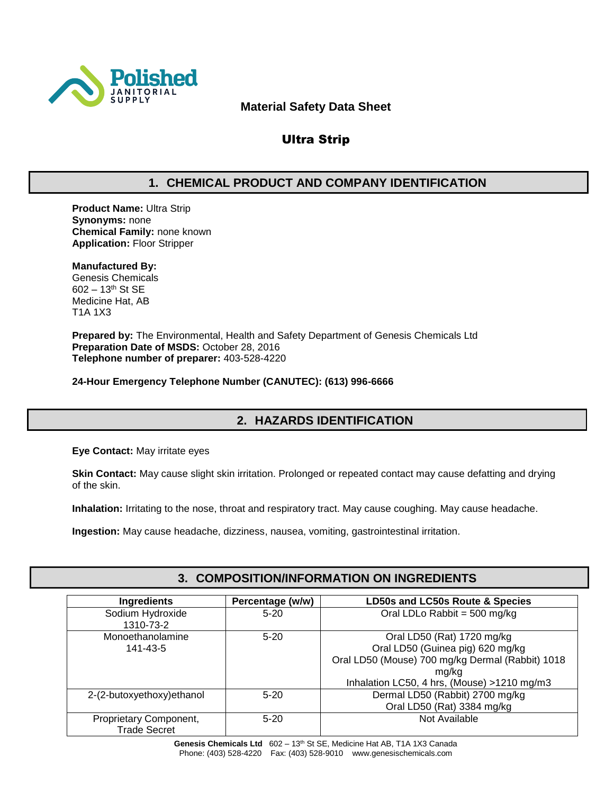

### **Material Safety Data Sheet**

# Ultra Strip

# **1. CHEMICAL PRODUCT AND COMPANY IDENTIFICATION**

**Product Name:** Ultra Strip **Synonyms:** none **Chemical Family:** none known **Application:** Floor Stripper

#### **Manufactured By:**

Genesis Chemicals 602 – 13th St SE Medicine Hat, AB T1A 1X3

**Prepared by:** The Environmental, Health and Safety Department of Genesis Chemicals Ltd **Preparation Date of MSDS:** October 28, 2016 **Telephone number of preparer:** 403-528-4220

**24-Hour Emergency Telephone Number (CANUTEC): (613) 996-6666**

# **2. HAZARDS IDENTIFICATION**

**Eye Contact:** May irritate eyes

**Skin Contact:** May cause slight skin irritation. Prolonged or repeated contact may cause defatting and drying of the skin.

**Inhalation:** Irritating to the nose, throat and respiratory tract. May cause coughing. May cause headache.

**Ingestion:** May cause headache, dizziness, nausea, vomiting, gastrointestinal irritation.

# **3. COMPOSITION/INFORMATION ON INGREDIENTS**

| <b>Ingredients</b>                            | Percentage (w/w) | LD50s and LC50s Route & Species                                                                                                                                            |  |
|-----------------------------------------------|------------------|----------------------------------------------------------------------------------------------------------------------------------------------------------------------------|--|
| Sodium Hydroxide<br>1310-73-2                 | $5 - 20$         | Oral LDLo Rabbit = 500 mg/kg                                                                                                                                               |  |
| Monoethanolamine<br>141-43-5                  | $5 - 20$         | Oral LD50 (Rat) 1720 mg/kg<br>Oral LD50 (Guinea pig) 620 mg/kg<br>Oral LD50 (Mouse) 700 mg/kg Dermal (Rabbit) 1018<br>ma/ka<br>Inhalation LC50, 4 hrs, (Mouse) >1210 mg/m3 |  |
| 2-(2-butoxyethoxy) ethanol                    | $5-20$           | Dermal LD50 (Rabbit) 2700 mg/kg<br>Oral LD50 (Rat) 3384 mg/kg                                                                                                              |  |
| Proprietary Component,<br><b>Trade Secret</b> | $5 - 20$         | Not Available                                                                                                                                                              |  |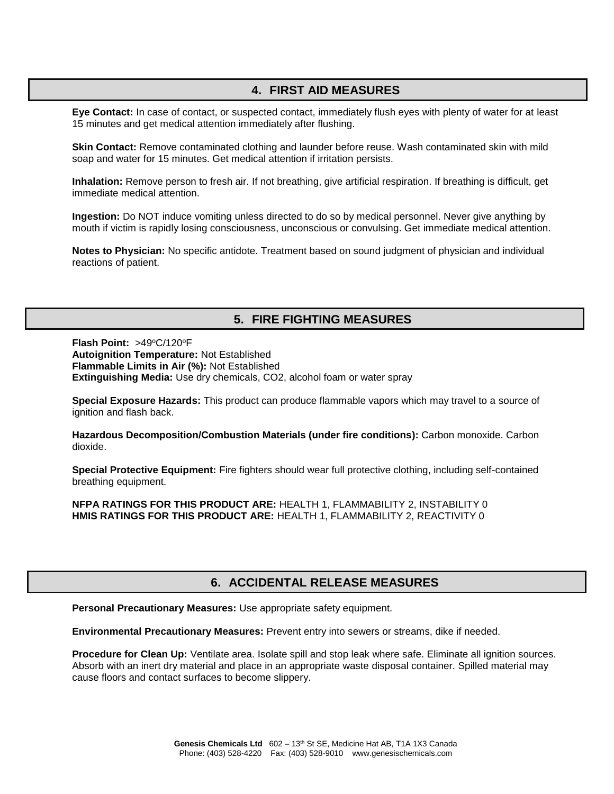### **4. FIRST AID MEASURES**

**Eye Contact:** In case of contact, or suspected contact, immediately flush eyes with plenty of water for at least 15 minutes and get medical attention immediately after flushing.

**Skin Contact:** Remove contaminated clothing and launder before reuse. Wash contaminated skin with mild soap and water for 15 minutes. Get medical attention if irritation persists.

**Inhalation:** Remove person to fresh air. If not breathing, give artificial respiration. If breathing is difficult, get immediate medical attention.

**Ingestion:** Do NOT induce vomiting unless directed to do so by medical personnel. Never give anything by mouth if victim is rapidly losing consciousness, unconscious or convulsing. Get immediate medical attention.

**Notes to Physician:** No specific antidote. Treatment based on sound judgment of physician and individual reactions of patient.

### **5. FIRE FIGHTING MEASURES**

Flash Point: >49°C/120°F **Autoignition Temperature:** Not Established **Flammable Limits in Air (%):** Not Established **Extinguishing Media:** Use dry chemicals, CO2, alcohol foam or water spray

**Special Exposure Hazards:** This product can produce flammable vapors which may travel to a source of ignition and flash back.

**Hazardous Decomposition/Combustion Materials (under fire conditions):** Carbon monoxide. Carbon dioxide.

**Special Protective Equipment:** Fire fighters should wear full protective clothing, including self-contained breathing equipment.

**NFPA RATINGS FOR THIS PRODUCT ARE:** HEALTH 1, FLAMMABILITY 2, INSTABILITY 0 **HMIS RATINGS FOR THIS PRODUCT ARE:** HEALTH 1, FLAMMABILITY 2, REACTIVITY 0

# **6. ACCIDENTAL RELEASE MEASURES**

**Personal Precautionary Measures:** Use appropriate safety equipment.

**Environmental Precautionary Measures:** Prevent entry into sewers or streams, dike if needed.

**Procedure for Clean Up:** Ventilate area. Isolate spill and stop leak where safe. Eliminate all ignition sources. Absorb with an inert dry material and place in an appropriate waste disposal container. Spilled material may cause floors and contact surfaces to become slippery.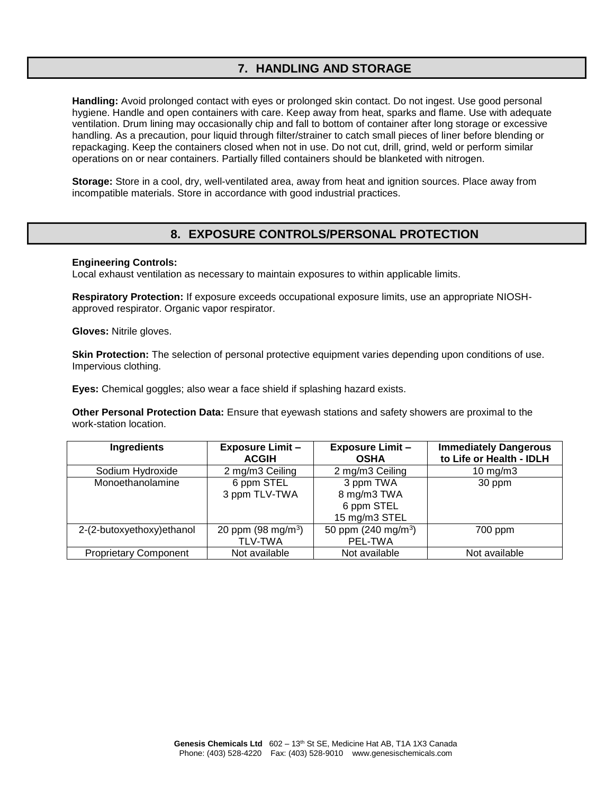# **7. HANDLING AND STORAGE**

**Handling:** Avoid prolonged contact with eyes or prolonged skin contact. Do not ingest. Use good personal hygiene. Handle and open containers with care. Keep away from heat, sparks and flame. Use with adequate ventilation. Drum lining may occasionally chip and fall to bottom of container after long storage or excessive handling. As a precaution, pour liquid through filter/strainer to catch small pieces of liner before blending or repackaging. Keep the containers closed when not in use. Do not cut, drill, grind, weld or perform similar operations on or near containers. Partially filled containers should be blanketed with nitrogen.

**Storage:** Store in a cool, dry, well-ventilated area, away from heat and ignition sources. Place away from incompatible materials. Store in accordance with good industrial practices.

### **8. EXPOSURE CONTROLS/PERSONAL PROTECTION**

#### **Engineering Controls:**

Local exhaust ventilation as necessary to maintain exposures to within applicable limits.

**Respiratory Protection:** If exposure exceeds occupational exposure limits, use an appropriate NIOSHapproved respirator. Organic vapor respirator.

**Gloves:** Nitrile gloves.

**Skin Protection:** The selection of personal protective equipment varies depending upon conditions of use. Impervious clothing.

**Eyes:** Chemical goggles; also wear a face shield if splashing hazard exists.

**Other Personal Protection Data:** Ensure that eyewash stations and safety showers are proximal to the work-station location.

| Ingredients                  | <b>Exposure Limit -</b><br><b>ACGIH</b> | <b>Exposure Limit -</b><br><b>OSHA</b> | <b>Immediately Dangerous</b><br>to Life or Health - IDLH |
|------------------------------|-----------------------------------------|----------------------------------------|----------------------------------------------------------|
| Sodium Hydroxide             | 2 mg/m3 Ceiling                         | 2 mg/m3 Ceiling                        | 10 mg/m $3$                                              |
| Monoethanolamine             | 6 ppm STEL                              | 3 ppm TWA                              | 30 ppm                                                   |
|                              | 3 ppm TLV-TWA                           | 8 mg/m3 TWA                            |                                                          |
|                              |                                         | 6 ppm STEL                             |                                                          |
|                              |                                         | 15 mg/m3 STEL                          |                                                          |
| 2-(2-butoxyethoxy) ethanol   | 20 ppm $(98 \text{ mg/m}^3)$            | 50 ppm $(240 \text{ mg/m}^3)$          | 700 ppm                                                  |
|                              | <b>TLV-TWA</b>                          | PEL-TWA                                |                                                          |
| <b>Proprietary Component</b> | Not available                           | Not available                          | Not available                                            |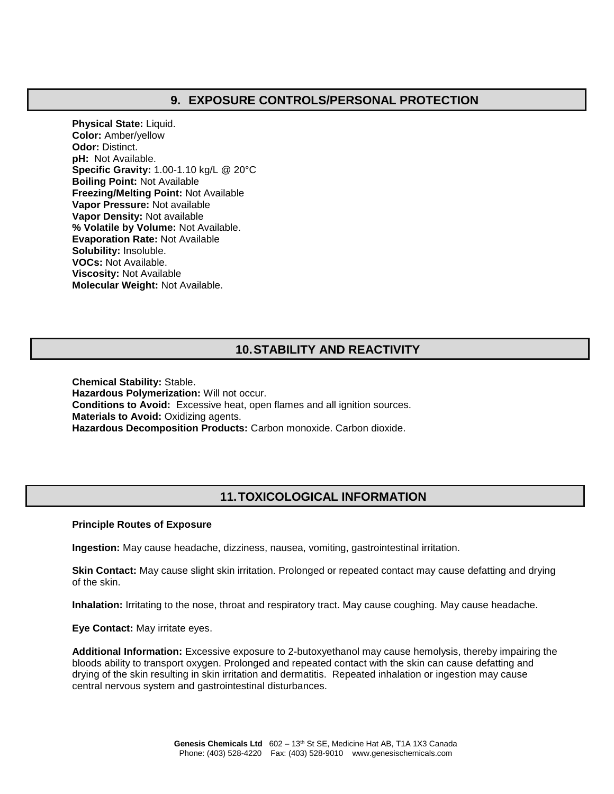### **9. EXPOSURE CONTROLS/PERSONAL PROTECTION**

**Physical State:** Liquid. **Color:** Amber/yellow **Odor:** Distinct. **pH:** Not Available. **Specific Gravity:** 1.00-1.10 kg/L @ 20°C **Boiling Point:** Not Available **Freezing/Melting Point:** Not Available **Vapor Pressure:** Not available **Vapor Density:** Not available **% Volatile by Volume:** Not Available. **Evaporation Rate:** Not Available **Solubility:** Insoluble. **VOCs:** Not Available. **Viscosity:** Not Available **Molecular Weight:** Not Available.

# **10.STABILITY AND REACTIVITY**

**Chemical Stability:** Stable. **Hazardous Polymerization:** Will not occur. **Conditions to Avoid:** Excessive heat, open flames and all ignition sources. **Materials to Avoid:** Oxidizing agents. **Hazardous Decomposition Products:** Carbon monoxide. Carbon dioxide.

# **11.TOXICOLOGICAL INFORMATION**

#### **Principle Routes of Exposure**

**Ingestion:** May cause headache, dizziness, nausea, vomiting, gastrointestinal irritation.

**Skin Contact:** May cause slight skin irritation. Prolonged or repeated contact may cause defatting and drying of the skin.

**Inhalation:** Irritating to the nose, throat and respiratory tract. May cause coughing. May cause headache.

**Eye Contact:** May irritate eyes.

**Additional Information:** Excessive exposure to 2-butoxyethanol may cause hemolysis, thereby impairing the bloods ability to transport oxygen. Prolonged and repeated contact with the skin can cause defatting and drying of the skin resulting in skin irritation and dermatitis. Repeated inhalation or ingestion may cause central nervous system and gastrointestinal disturbances.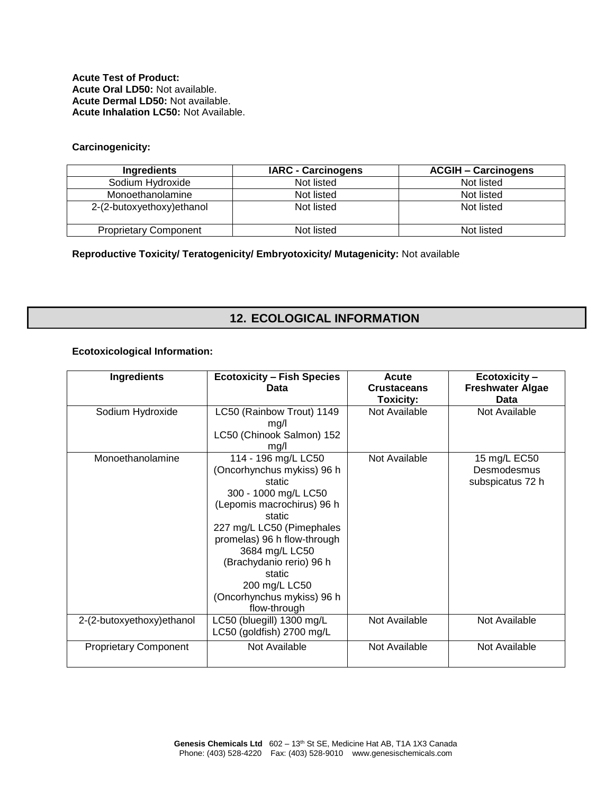**Acute Test of Product: Acute Oral LD50:** Not available. **Acute Dermal LD50:** Not available. **Acute Inhalation LC50:** Not Available.

#### **Carcinogenicity:**

| Ingredients                  | <b>IARC - Carcinogens</b> | <b>ACGIH - Carcinogens</b> |
|------------------------------|---------------------------|----------------------------|
| Sodium Hydroxide             | Not listed                | Not listed                 |
| Monoethanolamine             | Not listed                | Not listed                 |
| 2-(2-butoxyethoxy) ethanol   | Not listed                | Not listed                 |
| <b>Proprietary Component</b> | Not listed                | Not listed                 |

**Reproductive Toxicity/ Teratogenicity/ Embryotoxicity/ Mutagenicity:** Not available

# **12. ECOLOGICAL INFORMATION**

#### **Ecotoxicological Information:**

| <b>Ingredients</b>           | <b>Ecotoxicity - Fish Species</b><br>Data                                                                                                                                                                                                                                                                      | Acute<br><b>Crustaceans</b><br><b>Toxicity:</b> | Ecotoxicity-<br><b>Freshwater Algae</b><br>Data |
|------------------------------|----------------------------------------------------------------------------------------------------------------------------------------------------------------------------------------------------------------------------------------------------------------------------------------------------------------|-------------------------------------------------|-------------------------------------------------|
| Sodium Hydroxide             | LC50 (Rainbow Trout) 1149<br>mg/l<br>LC50 (Chinook Salmon) 152<br>mg/l                                                                                                                                                                                                                                         | Not Available                                   | Not Available                                   |
| Monoethanolamine             | 114 - 196 mg/L LC50<br>(Oncorhynchus mykiss) 96 h<br>static<br>300 - 1000 mg/L LC50<br>(Lepomis macrochirus) 96 h<br>static<br>227 mg/L LC50 (Pimephales<br>promelas) 96 h flow-through<br>3684 mg/L LC50<br>(Brachydanio rerio) 96 h<br>static<br>200 mg/L LC50<br>(Oncorhynchus mykiss) 96 h<br>flow-through | Not Available                                   | 15 mg/L EC50<br>Desmodesmus<br>subspicatus 72 h |
| 2-(2-butoxyethoxy) ethanol   | LC50 (bluegill) 1300 mg/L<br>LC50 (goldfish) 2700 mg/L                                                                                                                                                                                                                                                         | Not Available                                   | Not Available                                   |
| <b>Proprietary Component</b> | Not Available                                                                                                                                                                                                                                                                                                  | Not Available                                   | Not Available                                   |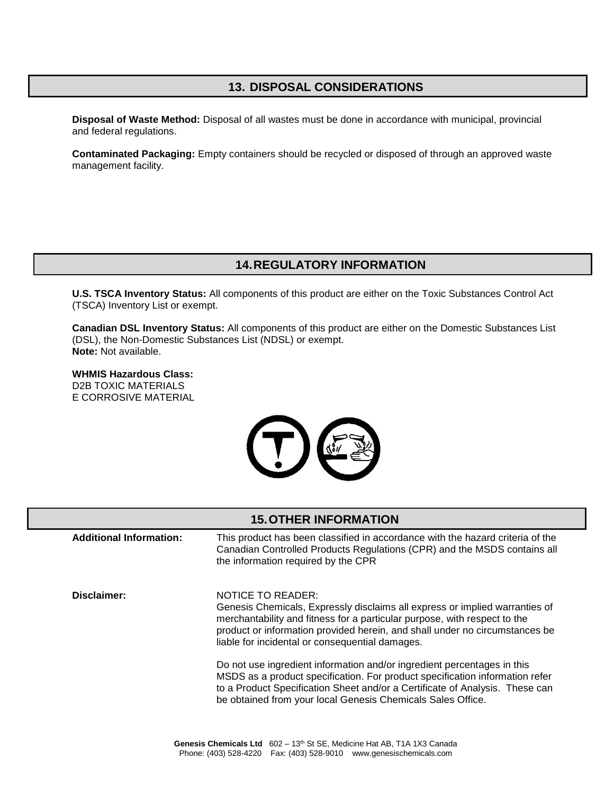# **13. DISPOSAL CONSIDERATIONS**

**Disposal of Waste Method:** Disposal of all wastes must be done in accordance with municipal, provincial and federal regulations.

**Contaminated Packaging:** Empty containers should be recycled or disposed of through an approved waste management facility.

### **14.REGULATORY INFORMATION**

**U.S. TSCA Inventory Status:** All components of this product are either on the Toxic Substances Control Act (TSCA) Inventory List or exempt.

**Canadian DSL Inventory Status:** All components of this product are either on the Domestic Substances List (DSL), the Non-Domestic Substances List (NDSL) or exempt. **Note:** Not available.

**WHMIS Hazardous Class:** D2B TOXIC MATERIALS E CORROSIVE MATERIAL



### **15.OTHER INFORMATION**

**Additional Information:** This product has been classified in accordance with the hazard criteria of the Canadian Controlled Products Regulations (CPR) and the MSDS contains all the information required by the CPR **Disclaimer:** NOTICE TO READER: Genesis Chemicals, Expressly disclaims all express or implied warranties of merchantability and fitness for a particular purpose, with respect to the product or information provided herein, and shall under no circumstances be liable for incidental or consequential damages. Do not use ingredient information and/or ingredient percentages in this MSDS as a product specification. For product specification information refer to a Product Specification Sheet and/or a Certificate of Analysis. These can be obtained from your local Genesis Chemicals Sales Office.